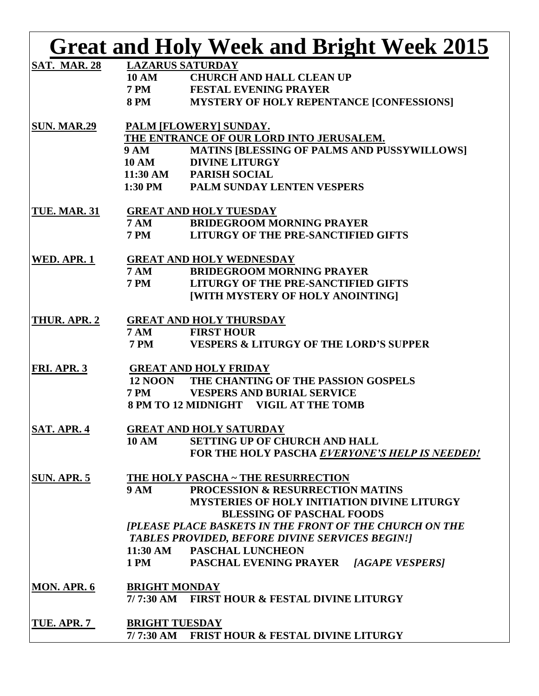|                     |                                          | <b>Great and Holy Week and Bright Week 2015</b>                |  |  |
|---------------------|------------------------------------------|----------------------------------------------------------------|--|--|
| <b>SAT. MAR. 28</b> |                                          | <b>LAZARUS SATURDAY</b>                                        |  |  |
|                     | <b>10 AM</b>                             | <b>CHURCH AND HALL CLEAN UP</b>                                |  |  |
|                     | <b>7 PM</b>                              | <b>FESTAL EVENING PRAYER</b>                                   |  |  |
|                     | <b>8 PM</b>                              | <b>MYSTERY OF HOLY REPENTANCE [CONFESSIONS]</b>                |  |  |
| <b>SUN. MAR.29</b>  | PALM [FLOWERY] SUNDAY.                   |                                                                |  |  |
|                     | THE ENTRANCE OF OUR LORD INTO JERUSALEM. |                                                                |  |  |
|                     | <b>9 AM</b>                              | <b>MATINS [BLESSING OF PALMS AND PUSSYWILLOWS]</b>             |  |  |
|                     | <b>10 AM</b>                             | <b>DIVINE LITURGY</b>                                          |  |  |
|                     |                                          | 11:30 AM PARISH SOCIAL                                         |  |  |
|                     |                                          | 1:30 PM PALM SUNDAY LENTEN VESPERS                             |  |  |
| <b>TUE. MAR. 31</b> | <b>GREAT AND HOLY TUESDAY</b>            |                                                                |  |  |
|                     | <b>7 AM</b>                              | <b>BRIDEGROOM MORNING PRAYER</b>                               |  |  |
|                     | <b>7 PM</b>                              | LITURGY OF THE PRE-SANCTIFIED GIFTS                            |  |  |
| WED. APR. 1         |                                          | <b>GREAT AND HOLY WEDNESDAY</b>                                |  |  |
|                     | <b>7 AM</b>                              | <b>BRIDEGROOM MORNING PRAYER</b>                               |  |  |
|                     | <b>7 PM</b>                              | LITURGY OF THE PRE-SANCTIFIED GIFTS                            |  |  |
|                     |                                          | [WITH MYSTERY OF HOLY ANOINTING]                               |  |  |
| THUR. APR. 2        |                                          | <b>GREAT AND HOLY THURSDAY</b>                                 |  |  |
|                     | 7 AM                                     | <b>FIRST HOUR</b>                                              |  |  |
|                     | <b>7 PM</b>                              | <b>VESPERS &amp; LITURGY OF THE LORD'S SUPPER</b>              |  |  |
| FRI. APR. 3         |                                          | <b>GREAT AND HOLY FRIDAY</b>                                   |  |  |
|                     | <b>12 NOON</b>                           | THE CHANTING OF THE PASSION GOSPELS                            |  |  |
|                     | <b>7 PM</b>                              | <b>VESPERS AND BURIAL SERVICE</b>                              |  |  |
|                     |                                          | 8 PM TO 12 MIDNIGHT VIGIL AT THE TOMB                          |  |  |
| <b>SAT. APR. 4</b>  |                                          | <b>GREAT AND HOLY SATURDAY</b>                                 |  |  |
|                     | <b>10 AM</b>                             | <b>SETTING UP OF CHURCH AND HALL</b>                           |  |  |
|                     |                                          | FOR THE HOLY PASCHA EVERYONE'S HELP IS NEEDED!                 |  |  |
| <b>SUN. APR. 5</b>  |                                          | THE HOLY PASCHA ~ THE RESURRECTION                             |  |  |
|                     | <b>9 AM</b>                              | <b>PROCESSION &amp; RESURRECTION MATINS</b>                    |  |  |
|                     |                                          | <b>MYSTERIES OF HOLY INITIATION DIVINE LITURGY</b>             |  |  |
|                     |                                          | <b>BLESSING OF PASCHAL FOODS</b>                               |  |  |
|                     |                                          | <b>[PLEASE PLACE BASKETS IN THE FRONT OF THE CHURCH ON THE</b> |  |  |
|                     |                                          | <b>TABLES PROVIDED, BEFORE DIVINE SERVICES BEGIN!]</b>         |  |  |
|                     |                                          | 11:30 AM PASCHAL LUNCHEON                                      |  |  |
|                     | <b>1 PM</b>                              | <b>PASCHAL EVENING PRAYER [AGAPE VESPERS]</b>                  |  |  |
| <b>MON. APR. 6</b>  | <b>BRIGHT MONDAY</b>                     |                                                                |  |  |
|                     |                                          | 7/7:30 AM FIRST HOUR & FESTAL DIVINE LITURGY                   |  |  |
| TUE. APR. 7         | <b>BRIGHT TUESDAY</b>                    |                                                                |  |  |
|                     |                                          | 7/7:30 AM FRIST HOUR & FESTAL DIVINE LITURGY                   |  |  |